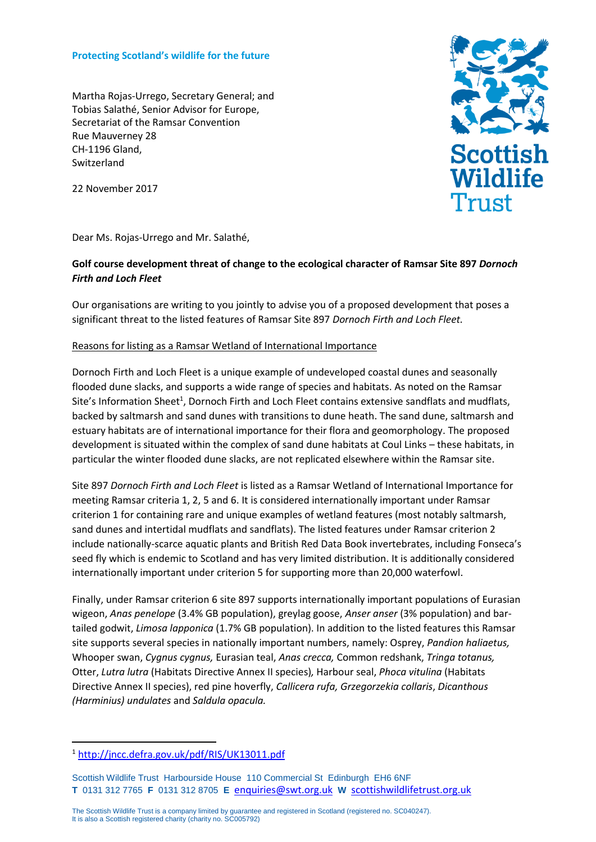### **Protecting Scotland's wildlife for the future**

Martha Rojas-Urrego, Secretary General; and Tobias Salathé, Senior Advisor for Europe, Secretariat of the Ramsar Convention Rue Mauverney 28 CH-1196 Gland, Switzerland

**Scottish** Wildlife Trust

22 November 2017

Dear Ms. Rojas-Urrego and Mr. Salathé,

# **Golf course development threat of change to the ecological character of Ramsar Site 897** *Dornoch Firth and Loch Fleet*

Our organisations are writing to you jointly to advise you of a proposed development that poses a significant threat to the listed features of Ramsar Site 897 *Dornoch Firth and Loch Fleet.*

## Reasons for listing as a Ramsar Wetland of International Importance

Dornoch Firth and Loch Fleet is a unique example of undeveloped coastal dunes and seasonally flooded dune slacks, and supports a wide range of species and habitats. As noted on the Ramsar Site's Information Sheet<sup>1</sup>, Dornoch Firth and Loch Fleet contains extensive sandflats and mudflats, backed by saltmarsh and sand dunes with transitions to dune heath. The sand dune, saltmarsh and estuary habitats are of international importance for their flora and geomorphology. The proposed development is situated within the complex of sand dune habitats at Coul Links – these habitats, in particular the winter flooded dune slacks, are not replicated elsewhere within the Ramsar site.

Site 897 *Dornoch Firth and Loch Fleet* is listed as a Ramsar Wetland of International Importance for meeting Ramsar criteria 1, 2, 5 and 6. It is considered internationally important under Ramsar criterion 1 for containing rare and unique examples of wetland features (most notably saltmarsh, sand dunes and intertidal mudflats and sandflats). The listed features under Ramsar criterion 2 include nationally-scarce aquatic plants and British Red Data Book invertebrates, including Fonseca's seed fly which is endemic to Scotland and has very limited distribution. It is additionally considered internationally important under criterion 5 for supporting more than 20,000 waterfowl.

Finally, under Ramsar criterion 6 site 897 supports internationally important populations of Eurasian wigeon, *Anas penelope* (3.4% GB population), greylag goose, *Anser anser* (3% population) and bartailed godwit, *Limosa lapponica* (1.7% GB population). In addition to the listed features this Ramsar site supports several species in nationally important numbers, namely: Osprey, *Pandion haliaetus,*  Whooper swan, *Cygnus cygnus,* Eurasian teal, *Anas crecca,* Common redshank, *Tringa totanus,* Otter, *Lutra lutra* (Habitats Directive Annex II species)*,* Harbour seal, *Phoca vitulina* (Habitats Directive Annex II species), red pine hoverfly, *Callicera rufa, Grzegorzekia collaris*, *Dicanthous (Harminius) undulates* and *Saldula opacula.*

 $\overline{a}$ 

The Scottish Wildlife Trust is a company limited by guarantee and registered in Scotland (registered no. SC040247). It is also a Scottish registered charity (charity no. SC005792)

<sup>1</sup> <http://jncc.defra.gov.uk/pdf/RIS/UK13011.pdf>

Scottish Wildlife Trust Harbourside House 110 Commercial St Edinburgh EH6 6NF **T** 0131 312 7765 **F** 0131 312 8705 **E** [enquiries@swt.org.uk](mailto:enquiries@swt.org.uk) **W** [scottishwildlifetrust.org.uk](http://www.swt.org.uk/)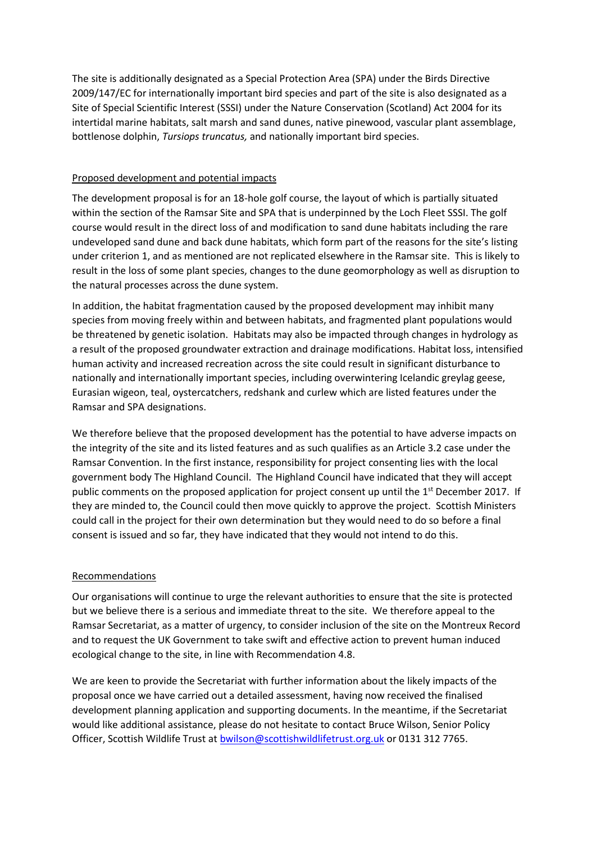The site is additionally designated as a Special Protection Area (SPA) under the Birds Directive 2009/147/EC for internationally important bird species and part of the site is also designated as a Site of Special Scientific Interest (SSSI) under the Nature Conservation (Scotland) Act 2004 for its intertidal marine habitats, salt marsh and sand dunes, native pinewood, vascular plant assemblage, bottlenose dolphin, *Tursiops truncatus,* and nationally important bird species.

## Proposed development and potential impacts

The development proposal is for an 18-hole golf course, the layout of which is partially situated within the section of the Ramsar Site and SPA that is underpinned by the Loch Fleet SSSI. The golf course would result in the direct loss of and modification to sand dune habitats including the rare undeveloped sand dune and back dune habitats, which form part of the reasons for the site's listing under criterion 1, and as mentioned are not replicated elsewhere in the Ramsar site. This is likely to result in the loss of some plant species, changes to the dune geomorphology as well as disruption to the natural processes across the dune system.

In addition, the habitat fragmentation caused by the proposed development may inhibit many species from moving freely within and between habitats, and fragmented plant populations would be threatened by genetic isolation. Habitats may also be impacted through changes in hydrology as a result of the proposed groundwater extraction and drainage modifications. Habitat loss, intensified human activity and increased recreation across the site could result in significant disturbance to nationally and internationally important species, including overwintering Icelandic greylag geese, Eurasian wigeon, teal, oystercatchers, redshank and curlew which are listed features under the Ramsar and SPA designations.

We therefore believe that the proposed development has the potential to have adverse impacts on the integrity of the site and its listed features and as such qualifies as an Article 3.2 case under the Ramsar Convention. In the first instance, responsibility for project consenting lies with the local government body The Highland Council. The Highland Council have indicated that they will accept public comments on the proposed application for project consent up until the 1<sup>st</sup> December 2017. If they are minded to, the Council could then move quickly to approve the project. Scottish Ministers could call in the project for their own determination but they would need to do so before a final consent is issued and so far, they have indicated that they would not intend to do this.

#### Recommendations

Our organisations will continue to urge the relevant authorities to ensure that the site is protected but we believe there is a serious and immediate threat to the site. We therefore appeal to the Ramsar Secretariat, as a matter of urgency, to consider inclusion of the site on the Montreux Record and to request the UK Government to take swift and effective action to prevent human induced ecological change to the site, in line with Recommendation 4.8.

We are keen to provide the Secretariat with further information about the likely impacts of the proposal once we have carried out a detailed assessment, having now received the finalised development planning application and supporting documents. In the meantime, if the Secretariat would like additional assistance, please do not hesitate to contact Bruce Wilson, Senior Policy Officer, Scottish Wildlife Trust a[t bwilson@scottishwildlifetrust.org.uk](mailto:bwilson@scottishwildlifetrust.org.uk) or 0131 312 7765.